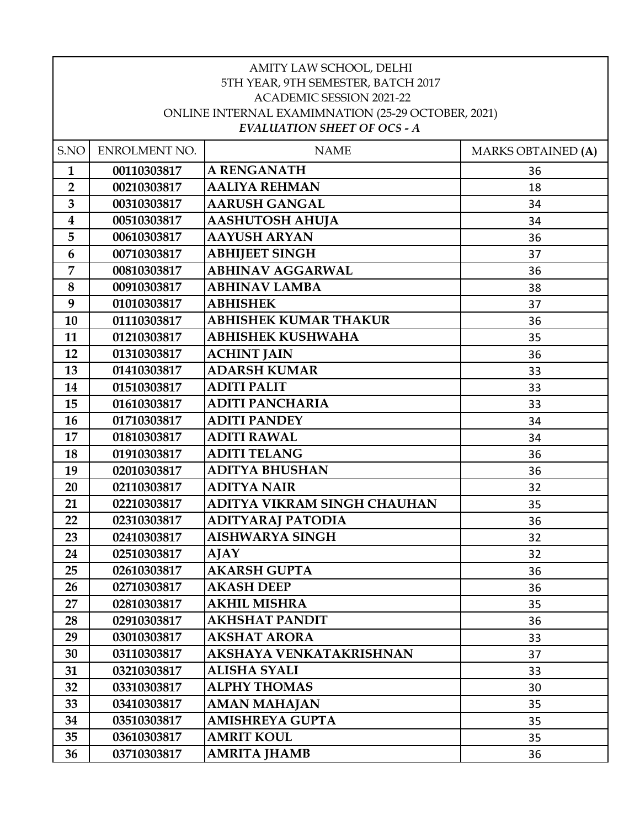| AMITY LAW SCHOOL, DELHI<br>5TH YEAR, 9TH SEMESTER, BATCH 2017<br><b>ACADEMIC SESSION 2021-22</b><br>ONLINE INTERNAL EXAMIMNATION (25-29 OCTOBER, 2021)<br><b>EVALUATION SHEET OF OCS - A</b> |               |                              |                           |
|----------------------------------------------------------------------------------------------------------------------------------------------------------------------------------------------|---------------|------------------------------|---------------------------|
| S.NO                                                                                                                                                                                         | ENROLMENT NO. | <b>NAME</b>                  | <b>MARKS OBTAINED (A)</b> |
| $\mathbf{1}$                                                                                                                                                                                 | 00110303817   | <b>A RENGANATH</b>           | 36                        |
| $\overline{2}$                                                                                                                                                                               | 00210303817   | <b>AALIYA REHMAN</b>         | 18                        |
| 3                                                                                                                                                                                            | 00310303817   | <b>AARUSH GANGAL</b>         | 34                        |
| $\boldsymbol{4}$                                                                                                                                                                             | 00510303817   | <b>AASHUTOSH AHUJA</b>       | 34                        |
| 5                                                                                                                                                                                            | 00610303817   | <b>AAYUSH ARYAN</b>          | 36                        |
| 6                                                                                                                                                                                            | 00710303817   | <b>ABHIJEET SINGH</b>        | 37                        |
| 7                                                                                                                                                                                            | 00810303817   | <b>ABHINAV AGGARWAL</b>      | 36                        |
| 8                                                                                                                                                                                            | 00910303817   | <b>ABHINAV LAMBA</b>         | 38                        |
| 9                                                                                                                                                                                            | 01010303817   | <b>ABHISHEK</b>              | 37                        |
| 10                                                                                                                                                                                           | 01110303817   | <b>ABHISHEK KUMAR THAKUR</b> | 36                        |
| 11                                                                                                                                                                                           | 01210303817   | <b>ABHISHEK KUSHWAHA</b>     | 35                        |
| 12                                                                                                                                                                                           | 01310303817   | <b>ACHINT JAIN</b>           | 36                        |
| 13                                                                                                                                                                                           | 01410303817   | <b>ADARSH KUMAR</b>          | 33                        |
| 14                                                                                                                                                                                           | 01510303817   | <b>ADITI PALIT</b>           | 33                        |
| 15                                                                                                                                                                                           | 01610303817   | <b>ADITI PANCHARIA</b>       | 33                        |
| 16                                                                                                                                                                                           | 01710303817   | <b>ADITI PANDEY</b>          | 34                        |
| 17                                                                                                                                                                                           | 01810303817   | <b>ADITI RAWAL</b>           | 34                        |
| 18                                                                                                                                                                                           | 01910303817   | <b>ADITI TELANG</b>          | 36                        |
| 19                                                                                                                                                                                           | 02010303817   | <b>ADITYA BHUSHAN</b>        | 36                        |
| 20                                                                                                                                                                                           | 02110303817   | <b>ADITYA NAIR</b>           | 32                        |
| 21                                                                                                                                                                                           | 02210303817   | ADITYA VIKRAM SINGH CHAUHAN  | 35                        |
| 22                                                                                                                                                                                           | 02310303817   | ADITYARAJ PATODIA            | 36                        |
| 23                                                                                                                                                                                           | 02410303817   | <b>AISHWARYA SINGH</b>       | 32                        |
| 24                                                                                                                                                                                           | 02510303817   | AJAY                         | 32                        |
| 25                                                                                                                                                                                           | 02610303817   | <b>AKARSH GUPTA</b>          | 36                        |
| 26                                                                                                                                                                                           | 02710303817   | <b>AKASH DEEP</b>            | 36                        |
| 27                                                                                                                                                                                           | 02810303817   | <b>AKHIL MISHRA</b>          | 35                        |
| 28                                                                                                                                                                                           | 02910303817   | AKHSHAT PANDIT               | 36                        |
| 29                                                                                                                                                                                           | 03010303817   | <b>AKSHAT ARORA</b>          | 33                        |
| 30                                                                                                                                                                                           | 03110303817   | AKSHAYA VENKATAKRISHNAN      | 37                        |
| 31                                                                                                                                                                                           | 03210303817   | ALISHA SYALI                 | 33                        |
| 32                                                                                                                                                                                           | 03310303817   | <b>ALPHY THOMAS</b>          | 30                        |
| 33                                                                                                                                                                                           | 03410303817   | <b>AMAN MAHAJAN</b>          | 35                        |
| 34                                                                                                                                                                                           | 03510303817   | <b>AMISHREYA GUPTA</b>       | 35                        |
| 35                                                                                                                                                                                           | 03610303817   | <b>AMRIT KOUL</b>            | 35                        |
| 36                                                                                                                                                                                           | 03710303817   | <b>AMRITA JHAMB</b>          | 36                        |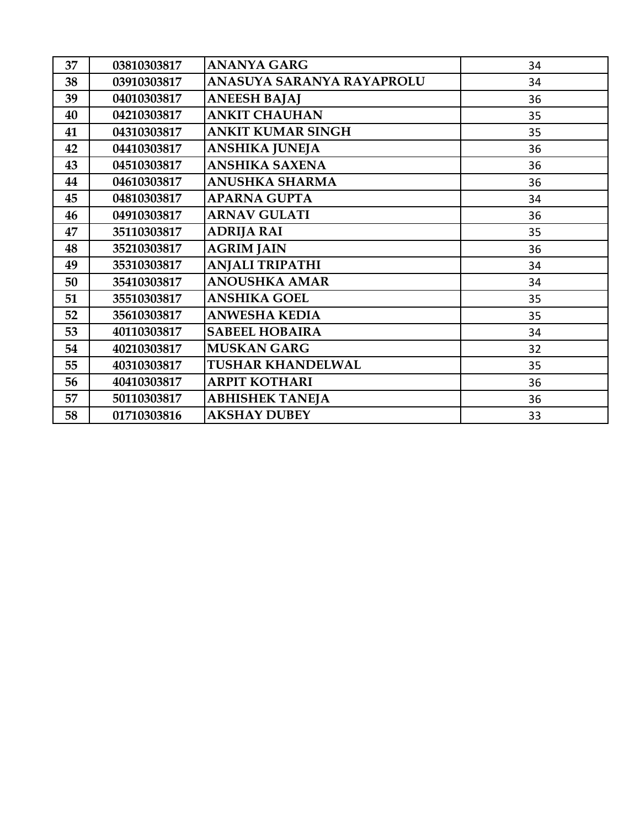| 37 | 03810303817 | <b>ANANYA GARG</b>        | 34 |
|----|-------------|---------------------------|----|
| 38 | 03910303817 | ANASUYA SARANYA RAYAPROLU | 34 |
| 39 | 04010303817 | <b>ANEESH BAJAJ</b>       | 36 |
| 40 | 04210303817 | <b>ANKIT CHAUHAN</b>      | 35 |
| 41 | 04310303817 | <b>ANKIT KUMAR SINGH</b>  | 35 |
| 42 | 04410303817 | ANSHIKA JUNEJA            | 36 |
| 43 | 04510303817 | ANSHIKA SAXENA            | 36 |
| 44 | 04610303817 | <b>ANUSHKA SHARMA</b>     | 36 |
| 45 | 04810303817 | <b>APARNA GUPTA</b>       | 34 |
| 46 | 04910303817 | <b>ARNAV GULATI</b>       | 36 |
| 47 | 35110303817 | <b>ADRIJA RAI</b>         | 35 |
| 48 | 35210303817 | <b>AGRIM JAIN</b>         | 36 |
| 49 | 35310303817 | <b>ANJALI TRIPATHI</b>    | 34 |
| 50 | 35410303817 | <b>ANOUSHKA AMAR</b>      | 34 |
| 51 | 35510303817 | <b>ANSHIKA GOEL</b>       | 35 |
| 52 | 35610303817 | ANWESHA KEDIA             | 35 |
| 53 | 40110303817 | <b>SABEEL HOBAIRA</b>     | 34 |
| 54 | 40210303817 | <b>MUSKAN GARG</b>        | 32 |
| 55 | 40310303817 | <b>TUSHAR KHANDELWAL</b>  | 35 |
| 56 | 40410303817 | <b>ARPIT KOTHARI</b>      | 36 |
| 57 | 50110303817 | <b>ABHISHEK TANEJA</b>    | 36 |
| 58 | 01710303816 | <b>AKSHAY DUBEY</b>       | 33 |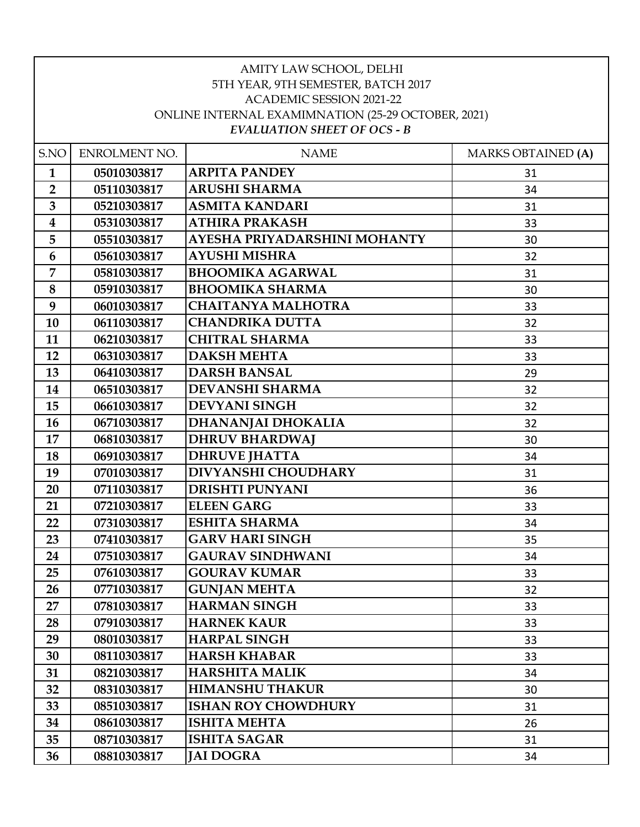| AMITY LAW SCHOOL, DELHI<br>5TH YEAR, 9TH SEMESTER, BATCH 2017<br><b>ACADEMIC SESSION 2021-22</b><br>ONLINE INTERNAL EXAMIMNATION (25-29 OCTOBER, 2021)<br><b>EVALUATION SHEET OF OCS - B</b> |               |                              |                           |
|----------------------------------------------------------------------------------------------------------------------------------------------------------------------------------------------|---------------|------------------------------|---------------------------|
| S.NO                                                                                                                                                                                         | ENROLMENT NO. | <b>NAME</b>                  | <b>MARKS OBTAINED (A)</b> |
| $\mathbf{1}$                                                                                                                                                                                 | 05010303817   | <b>ARPITA PANDEY</b>         | 31                        |
| $\overline{2}$                                                                                                                                                                               | 05110303817   | <b>ARUSHI SHARMA</b>         | 34                        |
| 3                                                                                                                                                                                            | 05210303817   | <b>ASMITA KANDARI</b>        | 31                        |
| $\overline{\mathbf{4}}$                                                                                                                                                                      | 05310303817   | <b>ATHIRA PRAKASH</b>        | 33                        |
| 5                                                                                                                                                                                            | 05510303817   | AYESHA PRIYADARSHINI MOHANTY | 30                        |
| 6                                                                                                                                                                                            | 05610303817   | <b>AYUSHI MISHRA</b>         | 32                        |
| $\overline{7}$                                                                                                                                                                               | 05810303817   | <b>BHOOMIKA AGARWAL</b>      | 31                        |
| 8                                                                                                                                                                                            | 05910303817   | <b>BHOOMIKA SHARMA</b>       | 30                        |
| 9                                                                                                                                                                                            | 06010303817   | <b>CHAITANYA MALHOTRA</b>    | 33                        |
| 10                                                                                                                                                                                           | 06110303817   | <b>CHANDRIKA DUTTA</b>       | 32                        |
| 11                                                                                                                                                                                           | 06210303817   | <b>CHITRAL SHARMA</b>        | 33                        |
| 12                                                                                                                                                                                           | 06310303817   | <b>DAKSH MEHTA</b>           | 33                        |
| 13                                                                                                                                                                                           | 06410303817   | <b>DARSH BANSAL</b>          | 29                        |
| 14                                                                                                                                                                                           | 06510303817   | <b>DEVANSHI SHARMA</b>       | 32                        |
| 15                                                                                                                                                                                           | 06610303817   | <b>DEVYANI SINGH</b>         | 32                        |
| 16                                                                                                                                                                                           | 06710303817   | <b>DHANANJAI DHOKALIA</b>    | 32                        |
| 17                                                                                                                                                                                           | 06810303817   | <b>DHRUV BHARDWAJ</b>        | 30                        |
| 18                                                                                                                                                                                           | 06910303817   | <b>DHRUVE JHATTA</b>         | 34                        |
| 19                                                                                                                                                                                           | 07010303817   | <b>DIVYANSHI CHOUDHARY</b>   | 31                        |
| 20                                                                                                                                                                                           | 07110303817   | <b>DRISHTI PUNYANI</b>       | 36                        |
| 21                                                                                                                                                                                           | 07210303817   | <b>ELEEN GARG</b>            | 33                        |
| 22                                                                                                                                                                                           | 07310303817   | <b>ESHITA SHARMA</b>         | 34                        |
| 23                                                                                                                                                                                           | 07410303817   | <b>GARV HARI SINGH</b>       | 35                        |
| 24                                                                                                                                                                                           | 07510303817   | <b>GAURAV SINDHWANI</b>      | 34                        |
| 25                                                                                                                                                                                           | 07610303817   | <b>GOURAV KUMAR</b>          | 33                        |
| 26                                                                                                                                                                                           | 07710303817   | <b>GUNJAN MEHTA</b>          | 32                        |
| 27                                                                                                                                                                                           | 07810303817   | <b>HARMAN SINGH</b>          | 33                        |
| 28                                                                                                                                                                                           | 07910303817   | <b>HARNEK KAUR</b>           | 33                        |
| 29                                                                                                                                                                                           | 08010303817   | <b>HARPAL SINGH</b>          | 33                        |
| 30                                                                                                                                                                                           | 08110303817   | <b>HARSH KHABAR</b>          | 33                        |
| 31                                                                                                                                                                                           | 08210303817   | <b>HARSHITA MALIK</b>        | 34                        |
| 32                                                                                                                                                                                           | 08310303817   | <b>HIMANSHU THAKUR</b>       | 30                        |
| 33                                                                                                                                                                                           | 08510303817   | <b>ISHAN ROY CHOWDHURY</b>   | 31                        |
| 34                                                                                                                                                                                           | 08610303817   | <b>ISHITA MEHTA</b>          | 26                        |
| 35                                                                                                                                                                                           | 08710303817   | <b>ISHITA SAGAR</b>          | 31                        |
| 36                                                                                                                                                                                           | 08810303817   | <b>JAI DOGRA</b>             | 34                        |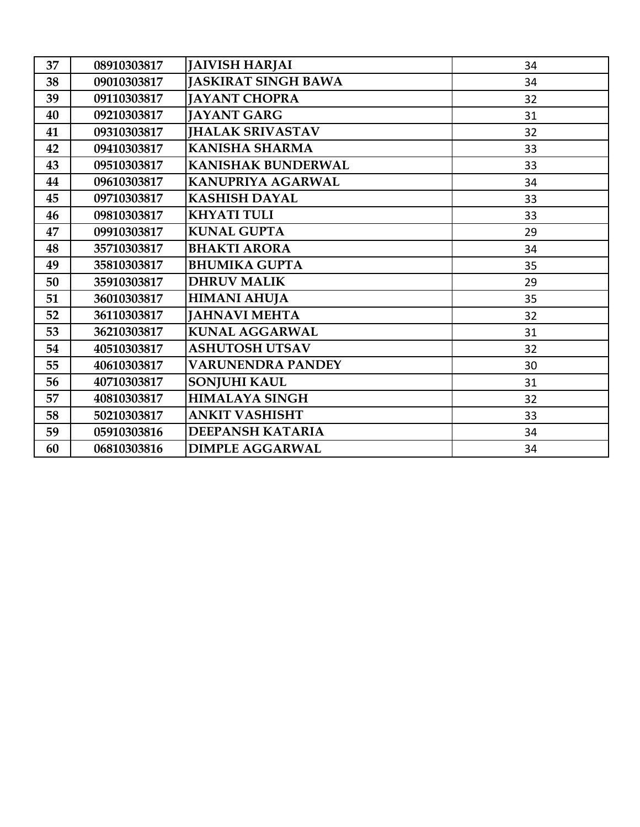| 37 | 08910303817 | <b>JAIVISH HARJAI</b>      | 34 |
|----|-------------|----------------------------|----|
| 38 | 09010303817 | <b>JASKIRAT SINGH BAWA</b> | 34 |
| 39 | 09110303817 | <b>JAYANT CHOPRA</b>       | 32 |
| 40 | 09210303817 | <b>JAYANT GARG</b>         | 31 |
| 41 | 09310303817 | <b>JHALAK SRIVASTAV</b>    | 32 |
| 42 | 09410303817 | <b>KANISHA SHARMA</b>      | 33 |
| 43 | 09510303817 | <b>KANISHAK BUNDERWAL</b>  | 33 |
| 44 | 09610303817 | KANUPRIYA AGARWAL          | 34 |
| 45 | 09710303817 | <b>KASHISH DAYAL</b>       | 33 |
| 46 | 09810303817 | <b>KHYATI TULI</b>         | 33 |
| 47 | 09910303817 | <b>KUNAL GUPTA</b>         | 29 |
| 48 | 35710303817 | <b>BHAKTI ARORA</b>        | 34 |
| 49 | 35810303817 | <b>BHUMIKA GUPTA</b>       | 35 |
| 50 | 35910303817 | <b>DHRUV MALIK</b>         | 29 |
| 51 | 36010303817 | <b>HIMANI AHUJA</b>        | 35 |
| 52 | 36110303817 | <b>JAHNAVI MEHTA</b>       | 32 |
| 53 | 36210303817 | <b>KUNAL AGGARWAL</b>      | 31 |
| 54 | 40510303817 | <b>ASHUTOSH UTSAV</b>      | 32 |
| 55 | 40610303817 | <b>VARUNENDRA PANDEY</b>   | 30 |
| 56 | 40710303817 | <b>SONJUHI KAUL</b>        | 31 |
| 57 | 40810303817 | <b>HIMALAYA SINGH</b>      | 32 |
| 58 | 50210303817 | <b>ANKIT VASHISHT</b>      | 33 |
| 59 | 05910303816 | <b>DEEPANSH KATARIA</b>    | 34 |
| 60 | 06810303816 | <b>DIMPLE AGGARWAL</b>     | 34 |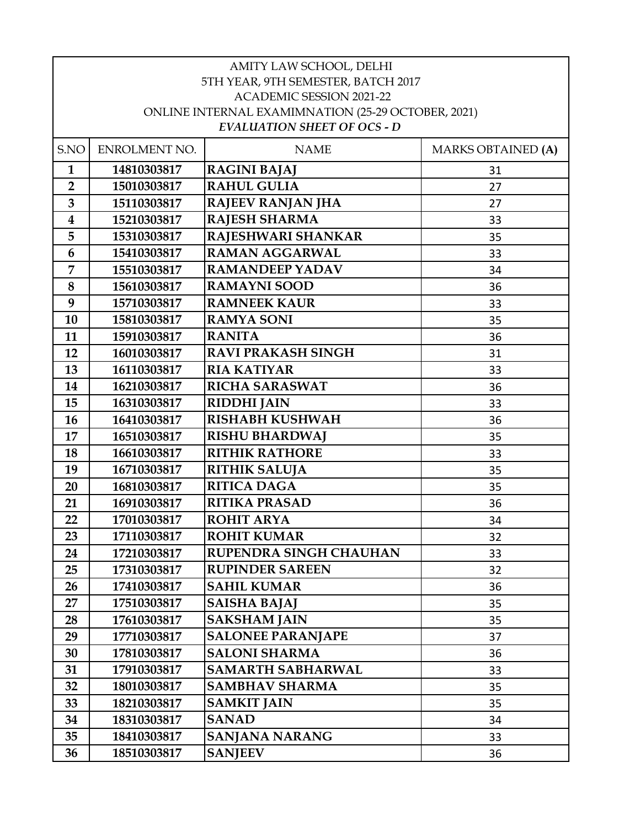| AMITY LAW SCHOOL, DELHI            |                                                                                          |                           |                           |  |  |
|------------------------------------|------------------------------------------------------------------------------------------|---------------------------|---------------------------|--|--|
| 5TH YEAR, 9TH SEMESTER, BATCH 2017 |                                                                                          |                           |                           |  |  |
| <b>ACADEMIC SESSION 2021-22</b>    |                                                                                          |                           |                           |  |  |
|                                    | ONLINE INTERNAL EXAMIMNATION (25-29 OCTOBER, 2021)<br><b>EVALUATION SHEET OF OCS - D</b> |                           |                           |  |  |
|                                    |                                                                                          |                           |                           |  |  |
| S.NO                               | ENROLMENT NO.                                                                            | <b>NAME</b>               | <b>MARKS OBTAINED (A)</b> |  |  |
| $\mathbf{1}$                       | 14810303817                                                                              | <b>RAGINI BAJAJ</b>       | 31                        |  |  |
| $\overline{2}$                     | 15010303817                                                                              | <b>RAHUL GULIA</b>        | 27                        |  |  |
| $\overline{\mathbf{3}}$            | 15110303817                                                                              | RAJEEV RANJAN JHA         | 27                        |  |  |
| $\boldsymbol{4}$                   | 15210303817                                                                              | <b>RAJESH SHARMA</b>      | 33                        |  |  |
| 5                                  | 15310303817                                                                              | RAJESHWARI SHANKAR        | 35                        |  |  |
| 6                                  | 15410303817                                                                              | <b>RAMAN AGGARWAL</b>     | 33                        |  |  |
| 7                                  | 15510303817                                                                              | <b>RAMANDEEP YADAV</b>    | 34                        |  |  |
| 8                                  | 15610303817                                                                              | <b>RAMAYNI SOOD</b>       | 36                        |  |  |
| 9                                  | 15710303817                                                                              | <b>RAMNEEK KAUR</b>       | 33                        |  |  |
| 10                                 | 15810303817                                                                              | <b>RAMYA SONI</b>         | 35                        |  |  |
| 11                                 | 15910303817                                                                              | <b>RANITA</b>             | 36                        |  |  |
| 12                                 | 16010303817                                                                              | <b>RAVI PRAKASH SINGH</b> | 31                        |  |  |
| 13                                 | 16110303817                                                                              | <b>RIA KATIYAR</b>        | 33                        |  |  |
| 14                                 | 16210303817                                                                              | <b>RICHA SARASWAT</b>     | 36                        |  |  |
| 15                                 | 16310303817                                                                              | <b>RIDDHI JAIN</b>        | 33                        |  |  |
| 16                                 | 16410303817                                                                              | <b>RISHABH KUSHWAH</b>    | 36                        |  |  |
| 17                                 | 16510303817                                                                              | <b>RISHU BHARDWAJ</b>     | 35                        |  |  |
| 18                                 | 16610303817                                                                              | <b>RITHIK RATHORE</b>     | 33                        |  |  |
| 19                                 | 16710303817                                                                              | <b>RITHIK SALUJA</b>      | 35                        |  |  |
| 20                                 | 16810303817                                                                              | <b>RITICA DAGA</b>        | 35                        |  |  |
| 21                                 | 16910303817                                                                              | <b>RITIKA PRASAD</b>      | 36                        |  |  |
| 22                                 | 17010303817                                                                              | <b>ROHIT ARYA</b>         | 34                        |  |  |
| 23                                 | 17110303817                                                                              | <b>ROHIT KUMAR</b>        | 32                        |  |  |
| 24                                 | 17210303817                                                                              | RUPENDRA SINGH CHAUHAN    | 33                        |  |  |
| 25                                 | 17310303817                                                                              | <b>RUPINDER SAREEN</b>    | 32                        |  |  |
| 26                                 | 17410303817                                                                              | <b>SAHIL KUMAR</b>        | 36                        |  |  |
| 27                                 | 17510303817                                                                              | <b>SAISHA BAJAJ</b>       | 35                        |  |  |
| 28                                 | 17610303817                                                                              | <b>SAKSHAM JAIN</b>       | 35                        |  |  |
| 29                                 | 17710303817                                                                              | <b>SALONEE PARANJAPE</b>  | 37                        |  |  |
| 30                                 | 17810303817                                                                              | <b>SALONI SHARMA</b>      | 36                        |  |  |
| 31                                 | 17910303817                                                                              | <b>SAMARTH SABHARWAL</b>  | 33                        |  |  |
| 32                                 | 18010303817                                                                              | <b>SAMBHAV SHARMA</b>     | 35                        |  |  |
| 33                                 | 18210303817                                                                              | <b>SAMKIT JAIN</b>        | 35                        |  |  |
| 34                                 | 18310303817                                                                              | <b>SANAD</b>              | 34                        |  |  |
| 35                                 | 18410303817                                                                              | SANJANA NARANG            | 33                        |  |  |
| 36                                 | 18510303817                                                                              | <b>SANJEEV</b>            | 36                        |  |  |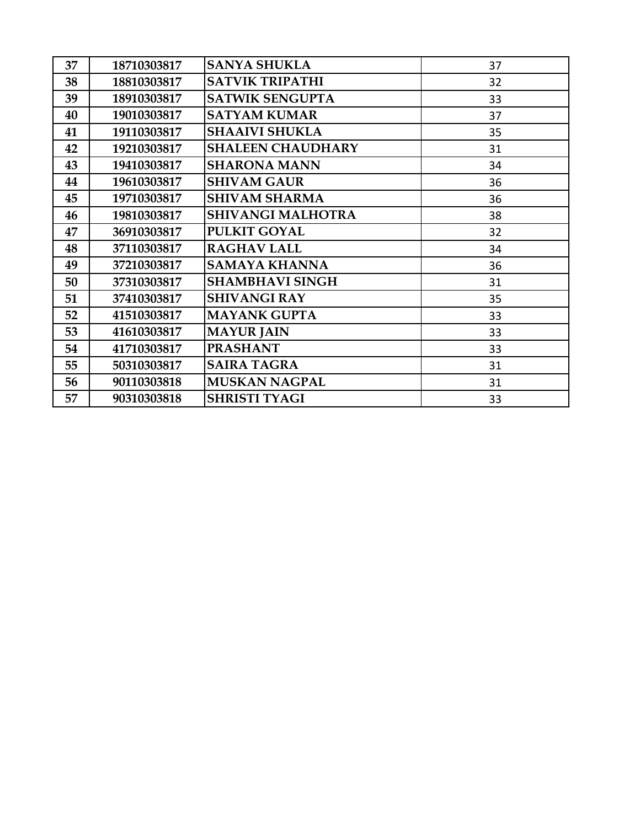| 37 | 18710303817 | <b>SANYA SHUKLA</b>      | 37 |
|----|-------------|--------------------------|----|
| 38 | 18810303817 | <b>SATVIK TRIPATHI</b>   | 32 |
| 39 | 18910303817 | <b>SATWIK SENGUPTA</b>   | 33 |
| 40 | 19010303817 | <b>SATYAM KUMAR</b>      | 37 |
| 41 | 19110303817 | <b>SHAAIVI SHUKLA</b>    | 35 |
| 42 | 19210303817 | <b>SHALEEN CHAUDHARY</b> | 31 |
| 43 | 19410303817 | <b>SHARONA MANN</b>      | 34 |
| 44 | 19610303817 | <b>SHIVAM GAUR</b>       | 36 |
| 45 | 19710303817 | <b>SHIVAM SHARMA</b>     | 36 |
| 46 | 19810303817 | <b>SHIVANGI MALHOTRA</b> | 38 |
| 47 | 36910303817 | <b>PULKIT GOYAL</b>      | 32 |
| 48 | 37110303817 | <b>RAGHAV LALL</b>       | 34 |
| 49 | 37210303817 | <b>SAMAYA KHANNA</b>     | 36 |
| 50 | 37310303817 | <b>SHAMBHAVI SINGH</b>   | 31 |
| 51 | 37410303817 | <b>SHIVANGI RAY</b>      | 35 |
| 52 | 41510303817 | <b>MAYANK GUPTA</b>      | 33 |
| 53 | 41610303817 | <b>MAYUR JAIN</b>        | 33 |
| 54 | 41710303817 | <b>PRASHANT</b>          | 33 |
| 55 | 50310303817 | <b>SAIRA TAGRA</b>       | 31 |
| 56 | 90110303818 | <b>MUSKAN NAGPAL</b>     | 31 |
| 57 | 90310303818 | <b>SHRISTI TYAGI</b>     | 33 |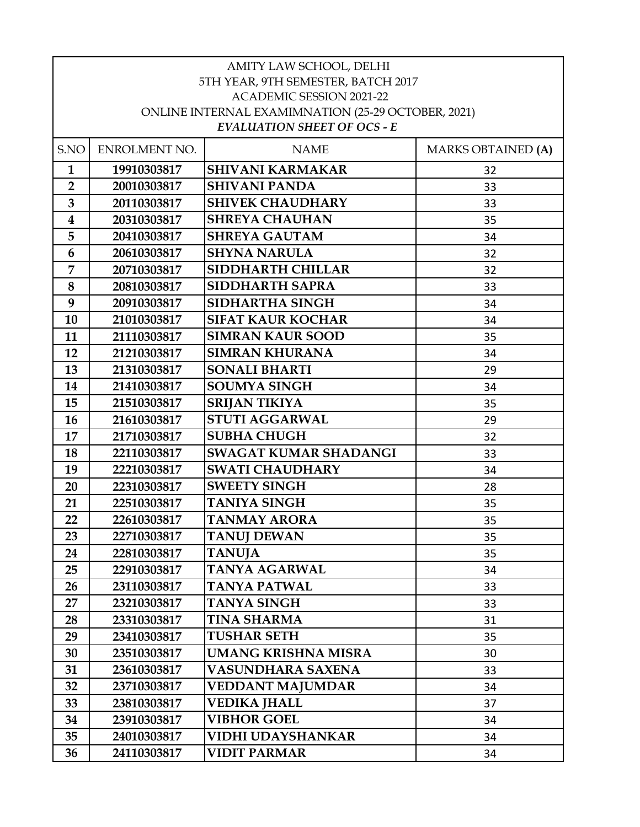| AMITY LAW SCHOOL, DELHI                            |               |                                    |                           |  |
|----------------------------------------------------|---------------|------------------------------------|---------------------------|--|
| 5TH YEAR, 9TH SEMESTER, BATCH 2017                 |               |                                    |                           |  |
| <b>ACADEMIC SESSION 2021-22</b>                    |               |                                    |                           |  |
| ONLINE INTERNAL EXAMIMNATION (25-29 OCTOBER, 2021) |               |                                    |                           |  |
|                                                    |               | <b>EVALUATION SHEET OF OCS - E</b> |                           |  |
| S.NO                                               | ENROLMENT NO. | <b>NAME</b>                        | <b>MARKS OBTAINED (A)</b> |  |
| $\mathbf{1}$                                       | 19910303817   | <b>SHIVANI KARMAKAR</b>            | 32                        |  |
| $\overline{2}$                                     | 20010303817   | <b>SHIVANI PANDA</b>               | 33                        |  |
| 3                                                  | 20110303817   | <b>SHIVEK CHAUDHARY</b>            | 33                        |  |
| $\overline{\mathbf{4}}$                            | 20310303817   | <b>SHREYA CHAUHAN</b>              | 35                        |  |
| 5                                                  | 20410303817   | <b>SHREYA GAUTAM</b>               | 34                        |  |
| 6                                                  | 20610303817   | <b>SHYNA NARULA</b>                | 32                        |  |
| 7                                                  | 20710303817   | <b>SIDDHARTH CHILLAR</b>           | 32                        |  |
| 8                                                  | 20810303817   | <b>SIDDHARTH SAPRA</b>             | 33                        |  |
| 9                                                  | 20910303817   | <b>SIDHARTHA SINGH</b>             | 34                        |  |
| 10                                                 | 21010303817   | <b>SIFAT KAUR KOCHAR</b>           | 34                        |  |
| 11                                                 | 21110303817   | <b>SIMRAN KAUR SOOD</b>            | 35                        |  |
| 12                                                 | 21210303817   | <b>SIMRAN KHURANA</b>              | 34                        |  |
| 13                                                 | 21310303817   | <b>SONALI BHARTI</b>               | 29                        |  |
| 14                                                 | 21410303817   | <b>SOUMYA SINGH</b>                | 34                        |  |
| 15                                                 | 21510303817   | <b>SRIJAN TIKIYA</b>               | 35                        |  |
| 16                                                 | 21610303817   | <b>STUTI AGGARWAL</b>              | 29                        |  |
| 17                                                 | 21710303817   | <b>SUBHA CHUGH</b>                 | 32                        |  |
| 18                                                 | 22110303817   | <b>SWAGAT KUMAR SHADANGI</b>       | 33                        |  |
| 19                                                 | 22210303817   | <b>SWATI CHAUDHARY</b>             | 34                        |  |
| 20                                                 | 22310303817   | <b>SWEETY SINGH</b>                | 28                        |  |
| 21                                                 | 22510303817   | <b>TANIYA SINGH</b>                | 35                        |  |
| 22                                                 | 22610303817   | <b>TANMAY ARORA</b>                | 35                        |  |
| 23                                                 | 22710303817   | <b>TANUJ DEWAN</b>                 | 35                        |  |
| 24                                                 | 22810303817   | <b>TANUJA</b>                      | 35                        |  |
| 25                                                 | 22910303817   | <b>TANYA AGARWAL</b>               | 34                        |  |
| 26                                                 | 23110303817   | <b>TANYA PATWAL</b>                | 33                        |  |
| 27                                                 | 23210303817   | <b>TANYA SINGH</b>                 | 33                        |  |
| 28                                                 | 23310303817   | <b>TINA SHARMA</b>                 | 31                        |  |
| 29                                                 | 23410303817   | <b>TUSHAR SETH</b>                 | 35                        |  |
| 30                                                 | 23510303817   | <b>UMANG KRISHNA MISRA</b>         | 30                        |  |
| 31                                                 | 23610303817   | <b>VASUNDHARA SAXENA</b>           | 33                        |  |
| 32                                                 | 23710303817   | <b>VEDDANT MAJUMDAR</b>            | 34                        |  |
| 33                                                 | 23810303817   | <b>VEDIKA JHALL</b>                | 37                        |  |
| 34                                                 | 23910303817   | <b>VIBHOR GOEL</b>                 | 34                        |  |
| 35                                                 | 24010303817   | <b>VIDHI UDAYSHANKAR</b>           | 34                        |  |
| 36                                                 | 24110303817   | <b>VIDIT PARMAR</b>                | 34                        |  |